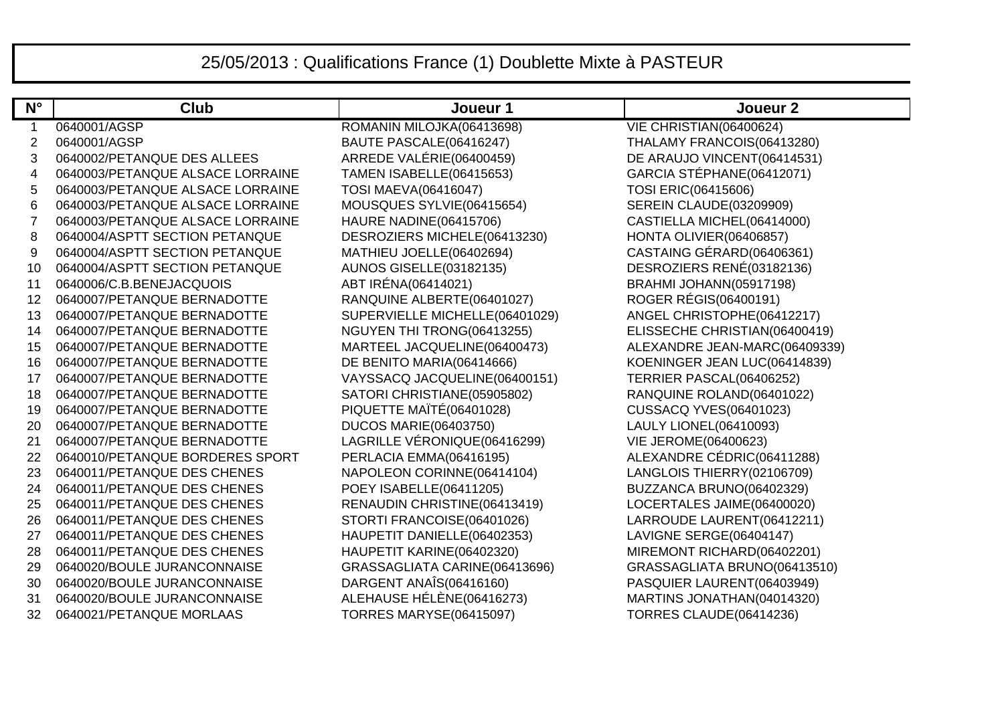## 25/05/2013 : Qualifications France (1) Doublette Mixte à PASTEUR

| $N^{\circ}$    | <b>Club</b>                      | Joueur 1                        | Joueur <sub>2</sub>            |
|----------------|----------------------------------|---------------------------------|--------------------------------|
| $\mathbf 1$    | 0640001/AGSP                     | ROMANIN MILOJKA(06413698)       | VIE CHRISTIAN(06400624)        |
| $\overline{2}$ | 0640001/AGSP                     | BAUTE PASCALE(06416247)         | THALAMY FRANCOIS(06413280)     |
| 3              | 0640002/PETANQUE DES ALLEES      | ARREDE VALÉRIE(06400459)        | DE ARAUJO VINCENT(06414531)    |
| 4              | 0640003/PETANQUE ALSACE LORRAINE | <b>TAMEN ISABELLE(06415653)</b> | GARCIA STÉPHANE(06412071)      |
| 5              | 0640003/PETANQUE ALSACE LORRAINE | <b>TOSI MAEVA(06416047)</b>     | TOSI ERIC(06415606)            |
| 6              | 0640003/PETANQUE ALSACE LORRAINE | MOUSQUES SYLVIE(06415654)       | <b>SEREIN CLAUDE(03209909)</b> |
| 7              | 0640003/PETANQUE ALSACE LORRAINE | HAURE NADINE(06415706)          | CASTIELLA MICHEL(06414000)     |
| 8              | 0640004/ASPTT SECTION PETANQUE   | DESROZIERS MICHELE(06413230)    | HONTA OLIVIER(06406857)        |
| 9              | 0640004/ASPTT SECTION PETANQUE   | MATHIEU JOELLE(06402694)        | CASTAING GÉRARD(06406361)      |
| 10             | 0640004/ASPTT SECTION PETANQUE   | <b>AUNOS GISELLE(03182135)</b>  | DESROZIERS RENÉ(03182136)      |
| 11             | 0640006/C.B.BENEJACQUOIS         | ABT IRÉNA(06414021)             | BRAHMI JOHANN(05917198)        |
| 12             | 0640007/PETANQUE BERNADOTTE      | RANQUINE ALBERTE(06401027)      | ROGER RÉGIS(06400191)          |
| 13             | 0640007/PETANQUE BERNADOTTE      | SUPERVIELLE MICHELLE(06401029)  | ANGEL CHRISTOPHE(06412217)     |
| 14             | 0640007/PETANQUE BERNADOTTE      | NGUYEN THI TRONG(06413255)      | ELISSECHE CHRISTIAN(06400419)  |
| 15             | 0640007/PETANQUE BERNADOTTE      | MARTEEL JACQUELINE(06400473)    | ALEXANDRE JEAN-MARC(06409339)  |
| 16             | 0640007/PETANQUE BERNADOTTE      | DE BENITO MARIA(06414666)       | KOENINGER JEAN LUC(06414839)   |
| 17             | 0640007/PETANQUE BERNADOTTE      | VAYSSACQ JACQUELINE(06400151)   | TERRIER PASCAL(06406252)       |
| 18             | 0640007/PETANQUE BERNADOTTE      | SATORI CHRISTIANE(05905802)     | RANQUINE ROLAND(06401022)      |
| 19             | 0640007/PETANQUE BERNADOTTE      | PIQUETTE MAÏTÉ(06401028)        | <b>CUSSACQ YVES(06401023)</b>  |
| 20             | 0640007/PETANQUE BERNADOTTE      | <b>DUCOS MARIE(06403750)</b>    | LAULY LIONEL(06410093)         |
| 21             | 0640007/PETANQUE BERNADOTTE      | LAGRILLE VÉRONIQUE(06416299)    | <b>VIE JEROME(06400623)</b>    |
| 22             | 0640010/PETANQUE BORDERES SPORT  | PERLACIA EMMA(06416195)         | ALEXANDRE CÉDRIC(06411288)     |
| 23             | 0640011/PETANQUE DES CHENES      | NAPOLEON CORINNE(06414104)      | LANGLOIS THIERRY(02106709)     |
| 24             | 0640011/PETANQUE DES CHENES      | POEY ISABELLE(06411205)         | BUZZANCA BRUNO(06402329)       |
| 25             | 0640011/PETANQUE DES CHENES      | RENAUDIN CHRISTINE(06413419)    | LOCERTALES JAIME(06400020)     |
| 26             | 0640011/PETANQUE DES CHENES      | STORTI FRANCOISE(06401026)      | LARROUDE LAURENT(06412211)     |
| 27             | 0640011/PETANQUE DES CHENES      | HAUPETIT DANIELLE(06402353)     | LAVIGNE SERGE(06404147)        |
| 28             | 0640011/PETANQUE DES CHENES      | HAUPETIT KARINE(06402320)       | MIREMONT RICHARD(06402201)     |
| 29             | 0640020/BOULE JURANCONNAISE      | GRASSAGLIATA CARINE(06413696)   | GRASSAGLIATA BRUNO(06413510)   |
| 30             | 0640020/BOULE JURANCONNAISE      | DARGENT ANAÎS(06416160)         | PASQUIER LAURENT(06403949)     |
| 31             | 0640020/BOULE JURANCONNAISE      | ALEHAUSE HÉLÈNE(06416273)       | MARTINS JONATHAN(04014320)     |
| 32             | 0640021/PETANQUE MORLAAS         | <b>TORRES MARYSE(06415097)</b>  | TORRES CLAUDE(06414236)        |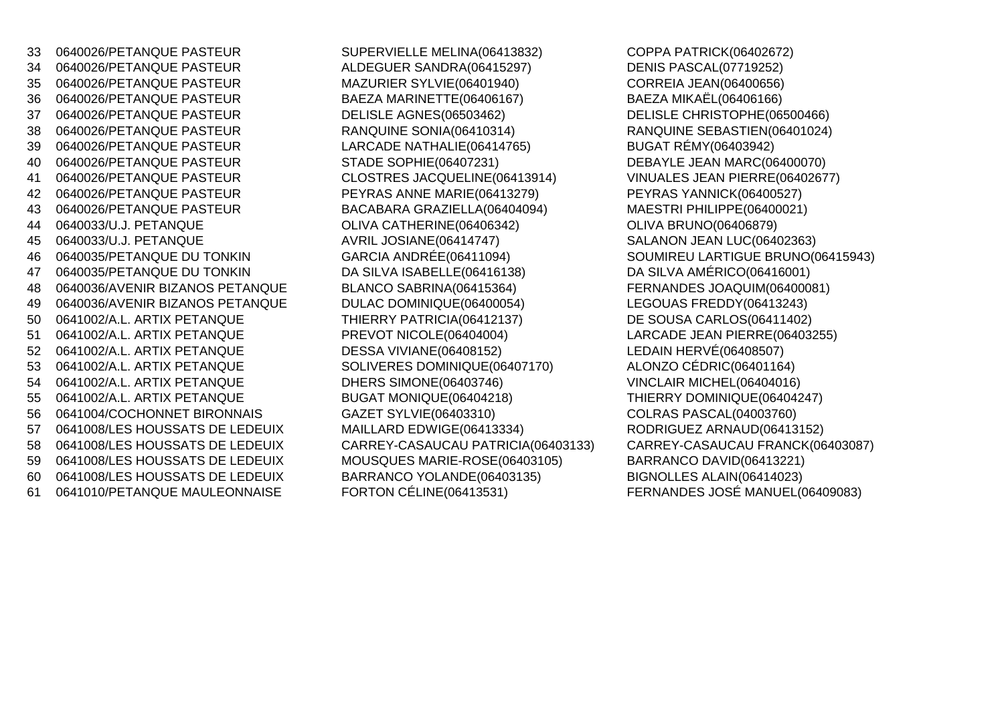34 0640026/PETANQUE PASTEUR ALDEGUER SANDRA(06415297)35 0640026/PETANQUE PASTEUR MAZURIER SYLVIE(06401940)36 0640026/PETANQUE PASTEUR BAEZA MARINETTE(06406167)37 0640026/PETANQUE PASTEUR DELISLE AGNES(06503462) DELISLE CHRISTOPHE(06500466) 38 0640026/PETANQUE PASTEUR RANQUINE SONIA(06410314) RANQUINE SEBASTIEN(06401024)<sup>39</sup> 0640026/PETANQUE PASTEUR LARCADE NATHALIE(06414765) BUGAT RÉMY(06403942) 40 0640026/PETANQUE PASTEUR STADE SOPHIE(06407231) DEBAYLE JEAN MARC(06400070)41 0640026/PETANQUE PASTEUR CLOSTRES JACQUELINE(06413914) <sup>42</sup> 0640026/PETANQUE PASTEUR PEYRAS ANNE MARIE(06413279) PEYRAS YANNICK(06400527)43 0640026/PETANQUE PASTEUR BACABARA GRAZIELLA(06404094) MAESTRI PHILIPPE(06400021)44 0640033/U.J. PETANQUE **OLIVA CATHERINE**(06406342) 45 0640033/U.J. PETANQUE AVRIL JOSIANE(06414747) SALANON JEAN LUC(06402363)<sup>46</sup> 0640035/PETANQUE DU TONKIN GARCIA ANDRÉE(06411094)<sup>47</sup> 0640035/PETANQUE DU TONKIN DA SILVA ISABELLE(06416138) DA SILVA AMÉRICO(06416001)48 0640036/AVENIR BIZANOS PETANQUE BLANCO SABRINA(06415364) 49 0640036/AVENIR BIZANOS PETANQUE DULAC DOMINIQUE(06400054) LEGOUAS FREDDY(06413243)50 0641002/A.L. ARTIX PETANQUE THIERRY PATRICIA(06412137) 51 0641002/A.L. ARTIX PETANQUE PREVOT NICOLE(06404004) LARCADE JEAN PIERRE(06403255)<sup>52</sup> 0641002/A.L. ARTIX PETANQUE DESSA VIVIANE(06408152) LEDAIN HERVÉ(06408507)53 0641002/A.L. ARTIX PETANQUE SOLIVERES DOMINIQUE(06407170) 54 0641002/A.L. ARTIX PETANQUE DHERS SIMONE(06403746)<sup>55</sup> 0641002/A.L. ARTIX PETANQUE BUGAT MONIQUE(06404218) THIERRY DOMINIQUE(06404247)56 0641004/COCHONNET BIRONNAIS GAZET SYLVIE(06403310)57 0641008/LES HOUSSATS DE LEDEUIX MAILLARD EDWIGE(06413334) 58 0641008/LES HOUSSATS DE LEDEUIX CARREY-CASAUCAU PATRICIA(06403133) 59 0641008/LES HOUSSATS DE LEDEUIX MOUSQUES MARIE-ROSE(06403105) BARRANCO DAVID(06413221)60 0641008/LES HOUSSATS DE LEDEUIX BARRANCO YOLANDE(06403135)<br>61 0641010/PETANQUE MAULEONNAISE FORTON CÉLINE(06413531)

33 0640026/PETANQUE PASTEUR SUPERVIELLE MELINA(06413832) COPPA PATRICK(06402672)

 DENIS PASCAL(07719252) CORREIA JEAN(06400656) BAEZA MIKAËL(06406166) VINUALES JEAN PIERRE(06402677) MAESTRI PHILIPPE(06400021) SOUMIREU LARTIGUE BRUNO(06415943) FERNANDES JOAQUIM(06400081) DE SOUSA CARLOS(06411402) ALONZO CÉDRIC(06401164) VINCLAIR MICHEL(06404016) COLRAS PASCAL(04003760)<br>RODRIGUEZ ARNAUD(06413152) CARREY-CASAUCAU FRANCK(06403087) BIGNOLLES ALAIN(06414023) <sup>61</sup> 0641010/PETANQUE MAULEONNAISE FORTON CÉLINE(06413531) FERNANDES JOSÉ MANUEL(06409083)